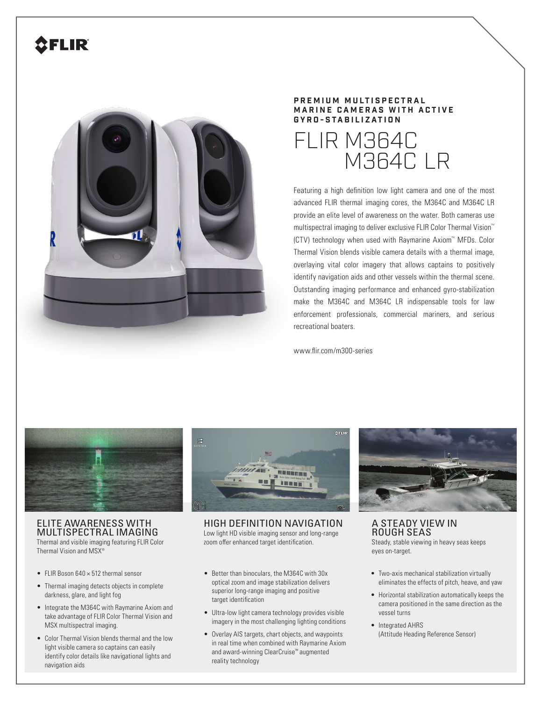# **SFLIR**



## **PREMIUM MULTISPECTRAL MARINE CAMERAS WITH ACTIVE GYRO-STABILIZATION**



Featuring a high definition low light camera and one of the most advanced FLIR thermal imaging cores, the M364C and M364C LR provide an elite level of awareness on the water. Both cameras use multispectral imaging to deliver exclusive FLIR Color Thermal Vision™ (CTV) technology when used with Raymarine Axiom™ MFDs. Color Thermal Vision blends visible camera details with a thermal image, overlaying vital color imagery that allows captains to positively identify navigation aids and other vessels within the thermal scene. Outstanding imaging performance and enhanced gyro-stabilization make the M364C and M364C LR indispensable tools for law enforcement professionals, commercial mariners, and serious recreational boaters.

www.flir.com/m300-series



## ELITE AWARENESS WITH MULTISPECTRAL IMAGING

Thermal and visible imaging featuring FLIR Color Thermal Vision and MSX®

- FLIR Boson 640  $\times$  512 thermal sensor
- Thermal imaging detects objects in complete darkness, glare, and light fog
- Integrate the M364C with Raymarine Axiom and take advantage of FLIR Color Thermal Vision and MSX multispectral imaging.
- Color Thermal Vision blends thermal and the low light visible camera so captains can easily identify color details like navigational lights and navigation aids



HIGH DEFINITION NAVIGATION Low light HD visible imaging sensor and long-range zoom offer enhanced target identification.

- Better than binoculars, the M364C with 30x optical zoom and image stabilization delivers superior long-range imaging and positive target identification
- Ultra-low light camera technology provides visible imagery in the most challenging lighting conditions
- Overlay AIS targets, chart objects, and waypoints in real time when combined with Raymarine Axiom and award-winning ClearCruise™ augmented reality technology



A STEADY VIEW IN ROUGH SEAS Steady, stable viewing in heavy seas keeps eyes on-target.

- Two-axis mechanical stabilization virtually eliminates the effects of pitch, heave, and yaw
- Horizontal stabilization automatically keeps the camera positioned in the same direction as the vessel turns
- Integrated AHRS (Attitude Heading Reference Sensor)